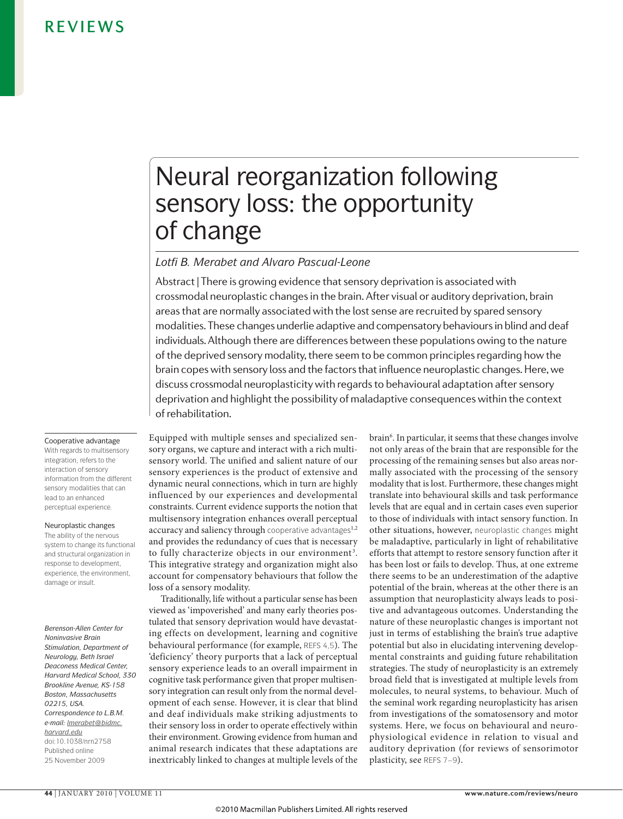# Neural reorganization following sensory loss: the opportunity of change

# *Lotfi B. Merabet and Alvaro Pascual-Leone*

Abstract | There is growing evidence that sensory deprivation is associated with crossmodal neuroplastic changes in the brain. After visual or auditory deprivation, brain areas that are normally associated with the lost sense are recruited by spared sensory modalities. These changes underlie adaptive and compensatory behaviours in blind and deaf individuals. Although there are differences between these populations owing to the nature of the deprived sensory modality, there seem to be common principles regarding how the brain copes with sensory loss and the factors that influence neuroplastic changes. Here, we discuss crossmodal neuroplasticity with regards to behavioural adaptation after sensory deprivation and highlight the possibility of maladaptive consequences within the context of rehabilitation.

Cooperative advantage With regards to multisensory integration, refers to the interaction of sensory information from the different sensory modalities that can lead to an enhanced perceptual experience.

Neuroplastic changes

The ability of the nervous system to change its functional and structural organization in response to development, experience, the environment, damage or insult.

*Berenson-Allen Center for Noninvasive Brain Stimulation, Department of Neurology, Beth Israel Deaconess Medical Center, Harvard Medical School, 330 Brookline Avenue, KS-158 Boston, Massachusetts 02215, USA. Correspondence to L.B.M. e-mail: [lmerabet@bidmc.](mailto:lmerabet@bidmc.harvard.edu) [harvard.edu](mailto:lmerabet@bidmc.harvard.edu)* doi:10.1038/nrn2758 Published online 25 November 2009

Equipped with multiple senses and specialized sensory organs, we capture and interact with a rich multisensory world. The unified and salient nature of our sensory experiences is the product of extensive and dynamic neural connections, which in turn are highly influenced by our experiences and developmental constraints. Current evidence supports the notion that multisensory integration enhances overall perceptual accuracy and saliency through cooperative advantages<sup>1,2</sup> and provides the redundancy of cues that is necessary to fully characterize objects in our environment<sup>3</sup>. This integrative strategy and organization might also account for compensatory behaviours that follow the loss of a sensory modality.

Traditionally, life without a particular sense has been viewed as 'impoverished' and many early theories postulated that sensory deprivation would have devastating effects on development, learning and cognitive behavioural performance (for example, REFS 4,5)*.* The 'deficiency' theory purports that a lack of perceptual sensory experience leads to an overall impairment in cognitive task performance given that proper multisensory integration can result only from the normal development of each sense. However, it is clear that blind and deaf individuals make striking adjustments to their sensory loss in order to operate effectively within their environment. Growing evidence from human and animal research indicates that these adaptations are inextricably linked to changes at multiple levels of the

brain6 . In particular, it seems that these changes involve not only areas of the brain that are responsible for the processing of the remaining senses but also areas normally associated with the processing of the sensory modality that is lost. Furthermore, these changes might translate into behavioural skills and task performance levels that are equal and in certain cases even superior to those of individuals with intact sensory function. In other situations, however, neuroplastic changes might be maladaptive, particularly in light of rehabilitative efforts that attempt to restore sensory function after it has been lost or fails to develop. Thus, at one extreme there seems to be an underestimation of the adaptive potential of the brain, whereas at the other there is an assumption that neuroplasticity always leads to positive and advantageous outcomes. Understanding the nature of these neuroplastic changes is important not just in terms of establishing the brain's true adaptive potential but also in elucidating intervening developmental constraints and guiding future rehabilitation strategies. The study of neuroplasticity is an extremely broad field that is investigated at multiple levels from molecules, to neural systems, to behaviour. Much of the seminal work regarding neuroplasticity has arisen from investigations of the somatosensory and motor systems. Here, we focus on behavioural and neurophysiological evidence in relation to visual and auditory deprivation (for reviews of sensorimotor plasticity, see REFS 7–9).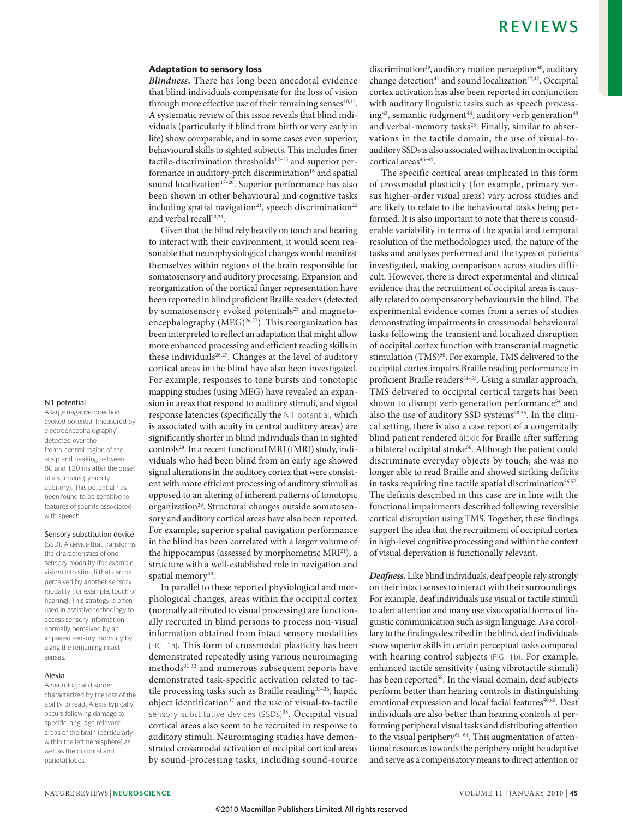#### Adaptation to sensory loss

*Blindness.* There has long been anecdotal evidence that blind individuals compensate for the loss of vision through more effective use of their remaining senses $10,11$ . a systematic review of this issue reveals that blind individuals (particularly if blind from birth or very early in life) show comparable, and in some cases even superior, behavioural skills to sighted subjects. This includes finer tactile-discrimination thresholds $12-15$  and superior performance in auditory-pitch discrimination<sup>16</sup> and spatial sound localization<sup>17-20</sup>. Superior performance has also been shown in other behavioural and cognitive tasks including spatial navigation<sup>21</sup>, speech discrimination<sup>22</sup> and verbal recall<sup>23,24</sup>.

Given that the blind rely heavily on touch and hearing to interact with their environment, it would seem reasonable that neurophysiological changes would manifest themselves within regions of the brain responsible for somatosensory and auditory processing. Expansion and reorganization of the cortical finger representation have been reported in blind proficient Braille readers (detected by somatosensory evoked potentials<sup>25</sup> and magnetoencephalography (MEG)<sup>26,27</sup>). This reorganization has been interpreted to reflect an adaptation that might allow more enhanced processing and efficient reading skills in these individuals<sup>26,27</sup>. Changes at the level of auditory cortical areas in the blind have also been investigated. For example, responses to tone bursts and tonotopic mapping studies (using MEG) have revealed an expansion in areas that respond to auditory stimuli, and signal response latencies (specifically the N1 potential, which is associated with acuity in central auditory areas) are significantly shorter in blind individuals than in sighted controls<sup>28</sup>. In a recent functional MRI (fMRI) study, individuals who had been blind from an early age showed signal alterations in the auditory cortex that were consistent with more efficient processing of auditory stimuli as opposed to an altering of inherent patterns of tonotopic organization<sup>29</sup>. Structural changes outside somatosensory and auditory cortical areas have also been reported. For example, superior spatial navigation performance in the blind has been correlated with a larger volume of the hippocampus (assessed by morphometric MRI<sup>21</sup>), a structure with a well-established role in navigation and spatial memory<sup>30</sup>.

In parallel to these reported physiological and morphological changes, areas within the occipital cortex (normally attributed to visual processing) are functionally recruited in blind persons to process non-visual information obtained from intact sensory modalities (FIG. 1a). This form of crossmodal plasticity has been demonstrated repeatedly using various neuroimaging methods31,32 and numerous subsequent reports have demonstrated task-specific activation related to tactile processing tasks such as Braille reading<sup>33-36</sup>, haptic object identification<sup>37</sup> and the use of visual-to-tactile sensory substitutive devices (SSDs)<sup>38</sup>. Occipital visual cortical areas also seem to be recruited in response to auditory stimuli. Neuroimaging studies have demonstrated crossmodal activation of occipital cortical areas by sound-processing tasks, including sound-source discrimination<sup>39</sup>, auditory motion perception<sup>40</sup>, auditory change detection<sup>41</sup> and sound localization<sup>17,42</sup>. Occipital cortex activation has also been reported in conjunction with auditory linguistic tasks such as speech processing<sup>43</sup>, semantic judgment<sup>44</sup>, auditory verb generation<sup>45</sup> and verbal-memory tasks<sup>23</sup>. Finally, similar to observations in the tactile domain, the use of visual-toauditory SSDs is also associated with activation in occipital cortical areas<sup>46-49</sup>.

The specific cortical areas implicated in this form of crossmodal plasticity (for example, primary versus higher-order visual areas) vary across studies and are likely to relate to the behavioural tasks being performed. It is also important to note that there is considerable variability in terms of the spatial and temporal resolution of the methodologies used, the nature of the tasks and analyses performed and the types of patients investigated, making comparisons across studies difficult. However, there is direct experimental and clinical evidence that the recruitment of occipital areas is causally related to compensatory behaviours in the blind. The experimental evidence comes from a series of studies demonstrating impairments in crossmodal behavioural tasks following the transient and localized disruption of occipital cortex function with transcranial magnetic stimulation (TMS)<sup>50</sup>. For example, TMS delivered to the occipital cortex impairs Braille reading performance in proficient Braille readers<sup>51-53</sup>. Using a similar approach, TMS delivered to occipital cortical targets has been shown to disrupt verb generation performance<sup>54</sup> and also the use of auditory SSD systems<sup>48,55</sup>. In the clinical setting, there is also a case report of a congenitally blind patient rendered alexic for Braille after suffering a bilateral occipital stroke<sup>56</sup>. Although the patient could discriminate everyday objects by touch, she was no longer able to read Braille and showed striking deficits in tasks requiring fine tactile spatial discrimination<sup>56,57</sup>. The deficits described in this case are in line with the functional impairments described following reversible cortical disruption using TMS. Together, these findings support the idea that the recruitment of occipital cortex in high-level cognitive processing and within the context of visual deprivation is functionally relevant.

*Deafness.* like blind individuals, deaf people rely strongly on their intact senses to interact with their surroundings. For example, deaf individuals use visual or tactile stimuli to alert attention and many use visuospatial forms of linguistic communication such as sign language. As a corollary to the findings described in the blind, deaf individuals show superior skills in certain perceptual tasks compared with hearing control subjects (FIG. 1b). For example, enhanced tactile sensitivity (using vibrotactile stimuli) has been reported<sup>58</sup>. In the visual domain, deaf subjects perform better than hearing controls in distinguishing emotional expression and local facial features<sup>59,60</sup>. Deaf individuals are also better than hearing controls at performing peripheral visual tasks and distributing attention to the visual periphery<sup>61-64</sup>. This augmentation of attentional resources towards the periphery might be adaptive and serve as a compensatory means to direct attention or

#### N1 potential

A large negative-direction evoked potential (measured by electroencephalography) detected over the fronto-central region of the scalp and peaking between 80 and 120 ms after the onset of a stimulus (typically auditory). This potential has been found to be sensitive to features of sounds associated with speech.

#### Sensory substitution device

(SSD). A device that transforms the characteristics of one sensory modality (for example, vision) into stimuli that can be perceived by another sensory modality (for example, touch or hearing). This strategy is often used in assistive technology to access sensory information normally perceived by an impaired sensory modality by using the remaining intact senses.

#### Alexia

A neurological disorder characterized by the loss of the ability to read. Alexia typically occurs following damage to specific language-relevant areas of the brain (particularly within the left hemisphere) as well as the occipital and parietal lobes.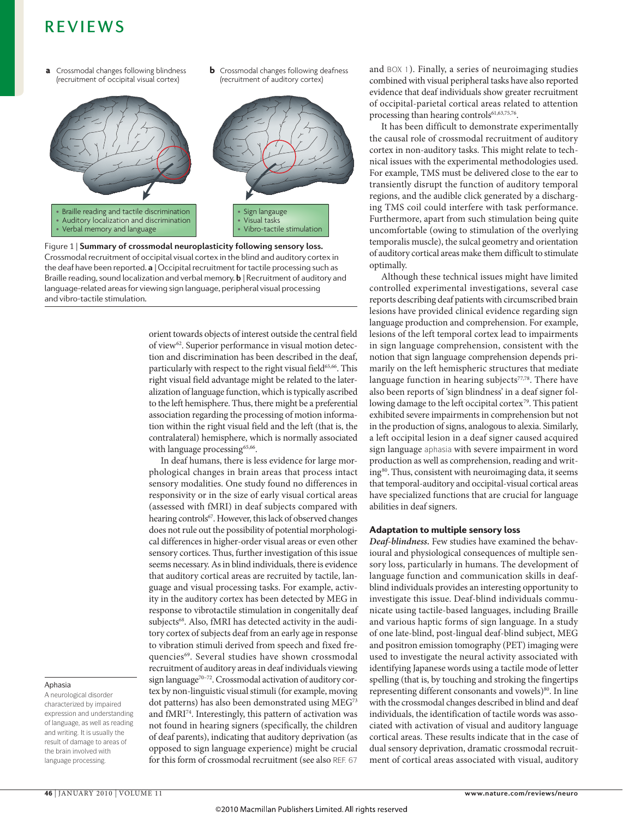- **a** Crossmodal changes following blindness **b** (recruitment of occipital visual cortex)
- **b** Crossmodal changes following deafness (recruitment of auditory cortex)



**Nature Reviews** | **Neuroscience** Crossmodal recruitment of occipital visual cortex in the blind and auditory cortex in Figure 1 | **summary of crossmodal neuroplasticity following sensory loss.**  the deaf have been reported. **a** | Occipital recruitment for tactile processing such as Braille reading, sound localization and verbal memory. **b** | Recruitment of auditory and language-related areas for viewing sign language, peripheral visual processing and vibro-tactile stimulation.

orient towards objects of interest outside the central field of view<sup>62</sup>. Superior performance in visual motion detection and discrimination has been described in the deaf, particularly with respect to the right visual field<sup>65,66</sup>. This right visual field advantage might be related to the lateralization of language function, which is typically ascribed to the left hemisphere. Thus, there might be a preferential association regarding the processing of motion information within the right visual field and the left (that is, the contralateral) hemisphere, which is normally associated with language processing<sup>65,66</sup>.

In deaf humans, there is less evidence for large morphological changes in brain areas that process intact sensory modalities. One study found no differences in responsivity or in the size of early visual cortical areas (assessed with fMrI) in deaf subjects compared with hearing controls<sup>67</sup>. However, this lack of observed changes does not rule out the possibility of potential morphological differences in higher-order visual areas or even other sensory cortices. Thus, further investigation of this issue seems necessary. As in blind individuals, there is evidence that auditory cortical areas are recruited by tactile, language and visual processing tasks. For example, activity in the auditory cortex has been detected by MEG in response to vibrotactile stimulation in congenitally deaf subjects<sup>68</sup>. Also, fMRI has detected activity in the auditory cortex of subjects deaf from an early age in response to vibration stimuli derived from speech and fixed frequencies<sup>69</sup>. Several studies have shown crossmodal recruitment of auditory areas in deaf individuals viewing sign language<sup>70-72</sup>. Crossmodal activation of auditory cortex by non-linguistic visual stimuli (for example, moving dot patterns) has also been demonstrated using MEG<sup>73</sup> and fMRI<sup>74</sup>. Interestingly, this pattern of activation was not found in hearing signers (specifically, the children of deaf parents), indicating that auditory deprivation (as opposed to sign language experience) might be crucial for this form of crossmodal recruitment (see also REF. 67

and BOX 1). Finally, a series of neuroimaging studies combined with visual peripheral tasks have also reported evidence that deaf individuals show greater recruitment of occipital-parietal cortical areas related to attention processing than hearing controls<sup>61,63,75,76</sup>.

It has been difficult to demonstrate experimentally the causal role of crossmodal recruitment of auditory cortex in non-auditory tasks. This might relate to technical issues with the experimental methodologies used. For example, TMS must be delivered close to the ear to transiently disrupt the function of auditory temporal regions, and the audible click generated by a discharging TMS coil could interfere with task performance. Furthermore, apart from such stimulation being quite uncomfortable (owing to stimulation of the overlying temporalis muscle), the sulcal geometry and orientation of auditory cortical areas make them difficult to stimulate optimally.

although these technical issues might have limited controlled experimental investigations, several case reports describing deaf patients with circumscribed brain lesions have provided clinical evidence regarding sign language production and comprehension. For example, lesions of the left temporal cortex lead to impairments in sign language comprehension, consistent with the notion that sign language comprehension depends primarily on the left hemispheric structures that mediate language function in hearing subjects<sup>77,78</sup>. There have also been reports of 'sign blindness' in a deaf signer following damage to the left occipital cortex<sup>79</sup>. This patient exhibited severe impairments in comprehension but not in the production of signs, analogous to alexia. Similarly, a left occipital lesion in a deaf signer caused acquired sign language aphasia with severe impairment in word production as well as comprehension, reading and writing<sup>80</sup>. Thus, consistent with neuroimaging data, it seems that temporal-auditory and occipital-visual cortical areas have specialized functions that are crucial for language abilities in deaf signers.

# Adaptation to multiple sensory loss

*Deaf-blindness.* Few studies have examined the behavioural and physiological consequences of multiple sensory loss, particularly in humans. The development of language function and communication skills in deafblind individuals provides an interesting opportunity to investigate this issue. Deaf-blind individuals communicate using tactile-based languages, including Braille and various haptic forms of sign language. In a study of one late-blind, post-lingual deaf-blind subject, MEG and positron emission tomography (PET) imaging were used to investigate the neural activity associated with identifying japanese words using a tactile mode of letter spelling (that is, by touching and stroking the fingertips representing different consonants and vowels)<sup>80</sup>. In line with the crossmodal changes described in blind and deaf individuals, the identification of tactile words was associated with activation of visual and auditory language cortical areas. These results indicate that in the case of dual sensory deprivation, dramatic crossmodal recruitment of cortical areas associated with visual, auditory

#### Aphasia

A neurological disorder characterized by impaired expression and understanding of language, as well as reading and writing. It is usually the result of damage to areas of the brain involved with language processing.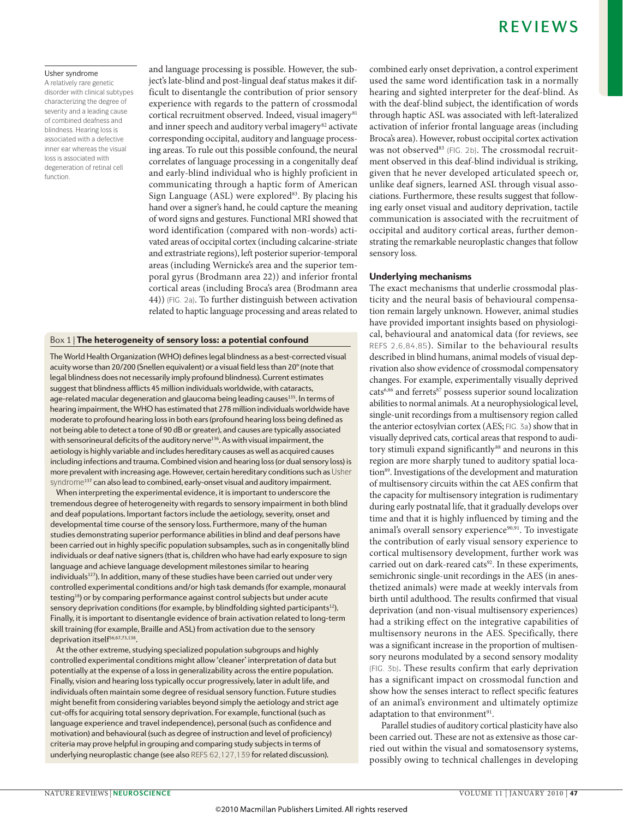### Usher syndrome

A relatively rare genetic disorder with clinical subtypes characterizing the degree of severity and a leading cause of combined deafness and blindness. Hearing loss is associated with a defective inner ear whereas the visual loss is associated with degeneration of retinal cell function.

and language processing is possible. However, the subject's late-blind and post-lingual deaf status makes it difficult to disentangle the contribution of prior sensory experience with regards to the pattern of crossmodal cortical recruitment observed. Indeed, visual imagery<sup>81</sup> and inner speech and auditory verbal imagery<sup>82</sup> activate corresponding occipital, auditory and language processing areas. To rule out this possible confound, the neural correlates of language processing in a congenitally deaf and early-blind individual who is highly proficient in communicating through a haptic form of American Sign Language  $(ASL)$  were explored<sup>83</sup>. By placing his hand over a signer's hand, he could capture the meaning of word signs and gestures. Functional MrI showed that word identification (compared with non-words) activated areas of occipital cortex (including calcarine-striate and extrastriate regions), left posterior superior-temporal areas (including wernicke's area and the superior temporal gyrus (Brodmann area 22)) and inferior frontal cortical areas (including Broca's area (Brodmann area 44)) (FIG. 2a). To further distinguish between activation related to haptic language processing and areas related to

### Box 1 | The heterogeneity of sensory loss: a potential confound

The World Health Organization (WHO) defines legal blindness as a best-corrected visual acuity worse than 20/200 (Snellen equivalent) or a visual field less than 20° (note that legal blindness does not necessarily imply profound blindness). Current estimates suggest that blindness afflicts 45 million individuals worldwide, with cataracts, age-related macular degeneration and glaucoma being leading causes<sup>135</sup>. In terms of hearing impairment, the WHO has estimated that 278 million individuals worldwide have moderate to profound hearing loss in both ears (profound hearing loss being defined as not being able to detect a tone of 90 dB or greater), and causes are typically associated with sensorineural deficits of the auditory nerve<sup>136</sup>. As with visual impairment, the aetiology is highly variable and includes hereditary causes as well as acquired causes including infections and trauma. Combined vision and hearing loss (or dual sensory loss) is more prevalent with increasing age. However, certain hereditary conditions such as Usher syndrome<sup>137</sup> can also lead to combined, early-onset visual and auditory impairment.

When interpreting the experimental evidence, it is important to underscore the tremendous degree of heterogeneity with regards to sensory impairment in both blind and deaf populations. Important factors include the aetiology, severity, onset and developmental time course of the sensory loss. Furthermore, many of the human studies demonstrating superior performance abilities in blind and deaf persons have been carried out in highly specific population subsamples, such as in congenitally blind individuals or deaf native signers (that is, children who have had early exposure to sign language and achieve language development milestones similar to hearing individuals<sup>127</sup>). In addition, many of these studies have been carried out under very controlled experimental conditions and/or high task demands (for example, monaural testing18) or by comparing performance against control subjects but under acute sensory deprivation conditions (for example, by blindfolding sighted participants<sup>12</sup>). Finally, it is important to disentangle evidence of brain activation related to long-term skill training (for example, Braille and ASL) from activation due to the sensory deprivation itself<sup>56,67,73,138</sup>.

At the other extreme, studying specialized population subgroups and highly controlled experimental conditions might allow 'cleaner' interpretation of data but potentially at the expense of a loss in generalizability across the entire population. Finally, vision and hearing loss typically occur progressively, later in adult life, and individuals often maintain some degree of residual sensory function. Future studies might benefit from considering variables beyond simply the aetiology and strict age cut-offs for acquiring total sensory deprivation. For example, functional (such as language experience and travel independence), personal (such as confidence and motivation) and behavioural (such as degree of instruction and level of proficiency) criteria may prove helpful in grouping and comparing study subjects in terms of underlying neuroplastic change (see also REFS 62,127,139 for related discussion).

combined early onset deprivation, a control experiment used the same word identification task in a normally hearing and sighted interpreter for the deaf-blind. As with the deaf-blind subject, the identification of words through haptic ASL was associated with left-lateralized activation of inferior frontal language areas (including Broca's area). However, robust occipital cortex activation was not observed<sup>83</sup> (FIG. 2b). The crossmodal recruitment observed in this deaf-blind individual is striking, given that he never developed articulated speech or, unlike deaf signers, learned aSl through visual associations. Furthermore, these results suggest that following early onset visual and auditory deprivation, tactile communication is associated with the recruitment of occipital and auditory cortical areas, further demonstrating the remarkable neuroplastic changes that follow sensory loss.

### Underlying mechanisms

The exact mechanisms that underlie crossmodal plasticity and the neural basis of behavioural compensation remain largely unknown. However, animal studies have provided important insights based on physiological, behavioural and anatomical data (for reviews, see REFS 2,6,84,85). Similar to the behavioural results described in blind humans, animal models of visual deprivation also show evidence of crossmodal compensatory changes. For example, experimentally visually deprived cats6,86 and ferrets87 possess superior sound localization abilities to normal animals. At a neurophysiological level, single-unit recordings from a multisensory region called the anterior ectosylvian cortex (aES; FIG. 3a) show that in visually deprived cats, cortical areas that respond to auditory stimuli expand significantly<sup>88</sup> and neurons in this region are more sharply tuned to auditory spatial location<sup>89</sup>. Investigations of the development and maturation of multisensory circuits within the cat aES confirm that the capacity for multisensory integration is rudimentary during early postnatal life, that it gradually develops over time and that it is highly influenced by timing and the animal's overall sensory experience<sup>90,91</sup>. To investigate the contribution of early visual sensory experience to cortical multisensory development, further work was carried out on dark-reared cats<sup>92</sup>. In these experiments, semichronic single-unit recordings in the AES (in anesthetized animals) were made at weekly intervals from birth until adulthood. The results confirmed that visual deprivation (and non-visual multisensory experiences) had a striking effect on the integrative capabilities of multisensory neurons in the aES. Specifically, there was a significant increase in the proportion of multisensory neurons modulated by a second sensory modality (FIG. 3b). These results confirm that early deprivation has a significant impact on crossmodal function and show how the senses interact to reflect specific features of an animal's environment and ultimately optimize adaptation to that environment<sup>91</sup>.

Parallel studies of auditory cortical plasticity have also been carried out. These are not as extensive as those carried out within the visual and somatosensory systems, possibly owing to technical challenges in developing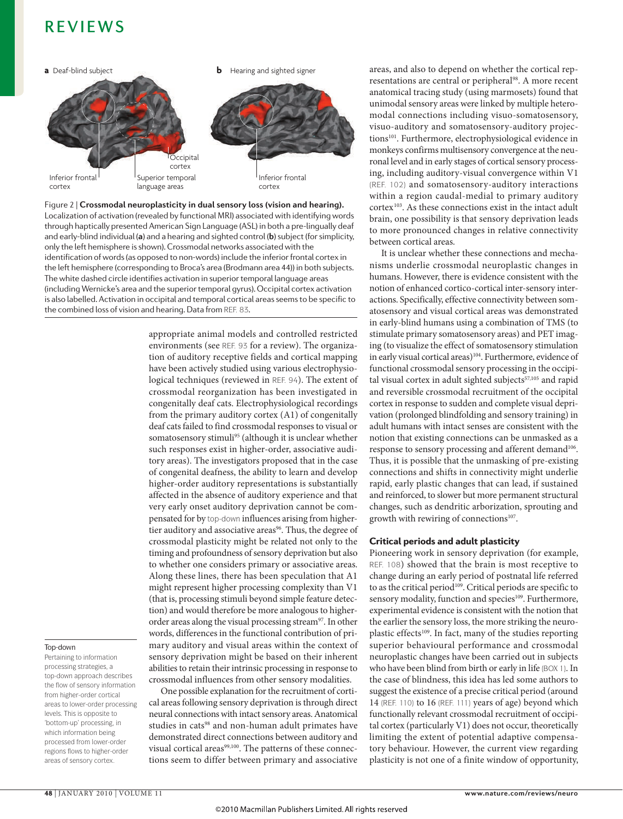

Localization of activation (revealed by functional MRI) associated with identifying words Figure 2 | **crossmodal neuroplasticity in dual sensory loss (vision and hearing).**  through haptically presented American Sign Language (ASL) in both a pre-lingually deaf and early-blind individual (**a**) and a hearing and sighted control (**b**) subject (for simplicity, only the left hemisphere is shown). Crossmodal networks associated with the identification of words (as opposed to non-words) include the inferior frontal cortex in the left hemisphere (corresponding to Broca's area (Brodmann area 44)) in both subjects. The white dashed circle identifies activation in superior temporal language areas (including Wernicke's area and the superior temporal gyrus). Occipital cortex activation is also labelled. Activation in occipital and temporal cortical areas seems to be specific to the combined loss of vision and hearing. Data from REF. 83.

> appropriate animal models and controlled restricted environments (see REF. 93 for a review). The organization of auditory receptive fields and cortical mapping have been actively studied using various electrophysiological techniques (reviewed in REF. 94). The extent of crossmodal reorganization has been investigated in congenitally deaf cats. Electrophysiological recordings from the primary auditory cortex (A1) of congenitally deaf cats failed to find crossmodal responses to visual or somatosensory stimuli<sup>95</sup> (although it is unclear whether such responses exist in higher-order, associative auditory areas). The investigators proposed that in the case of congenital deafness, the ability to learn and develop higher-order auditory representations is substantially affected in the absence of auditory experience and that very early onset auditory deprivation cannot be compensated for by top-down influences arising from highertier auditory and associative areas<sup>96</sup>. Thus, the degree of crossmodal plasticity might be related not only to the timing and profoundness of sensory deprivation but also to whether one considers primary or associative areas. Along these lines, there has been speculation that A1 might represent higher processing complexity than V1 (that is, processing stimuli beyond simple feature detection) and would therefore be more analogous to higherorder areas along the visual processing stream<sup>97</sup>. In other words, differences in the functional contribution of primary auditory and visual areas within the context of sensory deprivation might be based on their inherent abilities to retain their intrinsic processing in response to crossmodal influences from other sensory modalities.

> One possible explanation for the recruitment of cortical areas following sensory deprivation is through direct neural connections with intact sensory areas. Anatomical studies in cats<sup>98</sup> and non-human adult primates have demonstrated direct connections between auditory and visual cortical areas<sup>99,100</sup>. The patterns of these connections seem to differ between primary and associative

areas, and also to depend on whether the cortical representations are central or peripheral<sup>98</sup>. A more recent anatomical tracing study (using marmosets) found that unimodal sensory areas were linked by multiple heteromodal connections including visuo-somatosensory, visuo-auditory and somatosensory-auditory projections<sup>101</sup>. Furthermore, electrophysiological evidence in monkeys confirms multisensory convergence at the neuronal level and in early stages of cortical sensory processing, including auditory-visual convergence within V1 (REF. 102) and somatosensory-auditory interactions within a region caudal-medial to primary auditory cortex<sup>103</sup>. As these connections exist in the intact adult brain, one possibility is that sensory deprivation leads to more pronounced changes in relative connectivity between cortical areas.

It is unclear whether these connections and mechanisms underlie crossmodal neuroplastic changes in humans. However, there is evidence consistent with the notion of enhanced cortico-cortical inter-sensory interactions. Specifically, effective connectivity between somatosensory and visual cortical areas was demonstrated in early-blind humans using a combination of TMS (to stimulate primary somatosensory areas) and PET imaging (to visualize the effect of somatosensory stimulation in early visual cortical areas)<sup>104</sup>. Furthermore, evidence of functional crossmodal sensory processing in the occipital visual cortex in adult sighted subjects<sup>57,105</sup> and rapid and reversible crossmodal recruitment of the occipital cortex in response to sudden and complete visual deprivation (prolonged blindfolding and sensory training) in adult humans with intact senses are consistent with the notion that existing connections can be unmasked as a response to sensory processing and afferent demand<sup>106</sup>. Thus, it is possible that the unmasking of pre-existing connections and shifts in connectivity might underlie rapid, early plastic changes that can lead, if sustained and reinforced, to slower but more permanent structural changes, such as dendritic arborization, sprouting and growth with rewiring of connections<sup>107</sup>.

### Critical periods and adult plasticity

Pioneering work in sensory deprivation (for example, REF. 108) showed that the brain is most receptive to change during an early period of postnatal life referred to as the critical period<sup>109</sup>. Critical periods are specific to sensory modality, function and species<sup>109</sup>. Furthermore, experimental evidence is consistent with the notion that the earlier the sensory loss, the more striking the neuroplastic effects<sup>109</sup>. In fact, many of the studies reporting superior behavioural performance and crossmodal neuroplastic changes have been carried out in subjects who have been blind from birth or early in life (BOX 1). In the case of blindness, this idea has led some authors to suggest the existence of a precise critical period (around 14 (REF. 110) to 16 (REF. 111) years of age) beyond which functionally relevant crossmodal recruitment of occipital cortex (particularly V1) does not occur, theoretically limiting the extent of potential adaptive compensatory behaviour. However, the current view regarding plasticity is not one of a finite window of opportunity,

Top-down

Pertaining to information processing strategies, a top-down approach describes the flow of sensory information from higher-order cortical areas to lower-order processing levels. This is opposite to 'bottom-up' processing, in which information being processed from lower-order regions flows to higher-order areas of sensory cortex.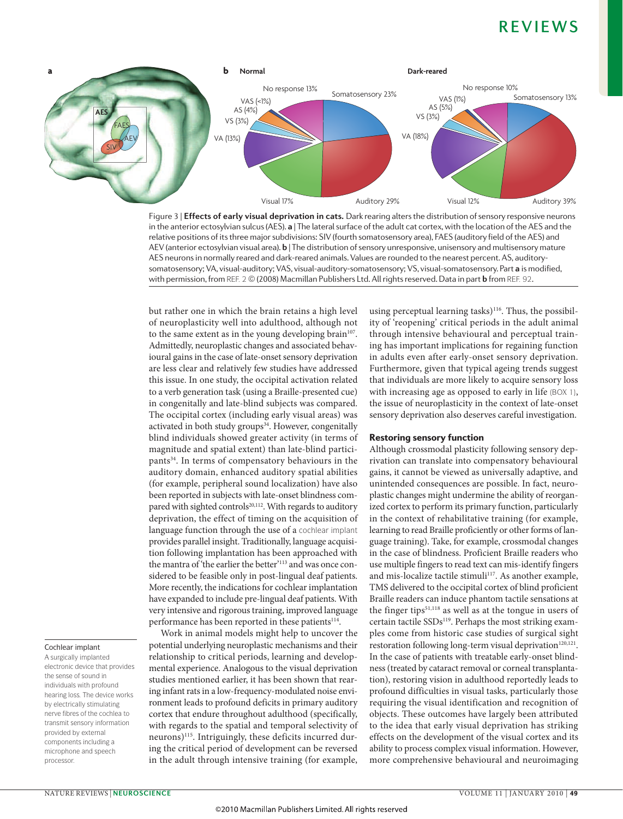

in the anterior ectosylvian sulcus (AES). **a** | The lateral surface of the adult cat cortex, with the location of the AES and the Figure 3 | **effects of early visual deprivation in cats.** Dark rearing alters the distribution of sensory responsive neurons relative positions of its three major subdivisions: SIV (fourth somatosensory area), FAES (auditory field of the AES) and AEV (anterior ectosylvian visual area). **b** | The distribution of sensory unresponsive, unisensory and multisensory mature AES neurons in normally reared and dark-reared animals. Values are rounded to the nearest percent. AS, auditorysomatosensory; VA, visual-auditory; VAS, visual-auditory-somatosensory; VS, visual-somatosensory. Part **a** is modified, with permission, from REF. 2 © (2008) Macmillan Publishers Ltd. All rights reserved. Data in part **b** from REF. 92.

but rather one in which the brain retains a high level of neuroplasticity well into adulthood, although not to the same extent as in the young developing brain<sup>107</sup>. admittedly, neuroplastic changes and associated behavioural gains in the case of late-onset sensory deprivation are less clear and relatively few studies have addressed this issue. In one study, the occipital activation related to a verb generation task (using a Braille-presented cue) in congenitally and late-blind subjects was compared. The occipital cortex (including early visual areas) was activated in both study groups<sup>34</sup>. However, congenitally blind individuals showed greater activity (in terms of magnitude and spatial extent) than late-blind participants<sup>34</sup>. In terms of compensatory behaviours in the auditory domain, enhanced auditory spatial abilities (for example, peripheral sound localization) have also been reported in subjects with late-onset blindness compared with sighted controls<sup>20,112</sup>. With regards to auditory deprivation, the effect of timing on the acquisition of language function through the use of a cochlear implant provides parallel insight. Traditionally, language acquisition following implantation has been approached with the mantra of 'the earlier the better'113 and was once considered to be feasible only in post-lingual deaf patients. More recently, the indications for cochlear implantation have expanded to include pre-lingual deaf patients. With very intensive and rigorous training, improved language performance has been reported in these patients<sup>114</sup>.

## Cochlear implant

A surgically implanted electronic device that provides the sense of sound in individuals with profound hearing loss. The device works by electrically stimulating nerve fibres of the cochlea to transmit sensory information provided by external components including a microphone and speech processor.

work in animal models might help to uncover the potential underlying neuroplastic mechanisms and their relationship to critical periods, learning and developmental experience. Analogous to the visual deprivation studies mentioned earlier, it has been shown that rearing infant rats in a low-frequency-modulated noise environment leads to profound deficits in primary auditory cortex that endure throughout adulthood (specifically, with regards to the spatial and temporal selectivity of neurons)115. Intriguingly, these deficits incurred during the critical period of development can be reversed in the adult through intensive training (for example, using perceptual learning tasks)<sup>116</sup>. Thus, the possibility of 'reopening' critical periods in the adult animal through intensive behavioural and perceptual training has important implications for regaining function in adults even after early-onset sensory deprivation. Furthermore, given that typical ageing trends suggest that individuals are more likely to acquire sensory loss with increasing age as opposed to early in life (BOX 1), the issue of neuroplasticity in the context of late-onset sensory deprivation also deserves careful investigation.

#### Restoring sensory function

although crossmodal plasticity following sensory deprivation can translate into compensatory behavioural gains, it cannot be viewed as universally adaptive, and unintended consequences are possible. In fact, neuroplastic changes might undermine the ability of reorganized cortex to perform its primary function, particularly in the context of rehabilitative training (for example, learning to read Braille proficiently or other forms of language training). Take, for example, crossmodal changes in the case of blindness. Proficient Braille readers who use multiple fingers to read text can mis-identify fingers and mis-localize tactile stimuli<sup>117</sup>. As another example, TMS delivered to the occipital cortex of blind proficient Braille readers can induce phantom tactile sensations at the finger tips<sup>51,118</sup> as well as at the tongue in users of certain tactile SSDs<sup>119</sup>. Perhaps the most striking examples come from historic case studies of surgical sight restoration following long-term visual deprivation<sup>120,121</sup>. In the case of patients with treatable early-onset blindness (treated by cataract removal or corneal transplantation), restoring vision in adulthood reportedly leads to profound difficulties in visual tasks, particularly those requiring the visual identification and recognition of objects. These outcomes have largely been attributed to the idea that early visual deprivation has striking effects on the development of the visual cortex and its ability to process complex visual information. However, more comprehensive behavioural and neuroimaging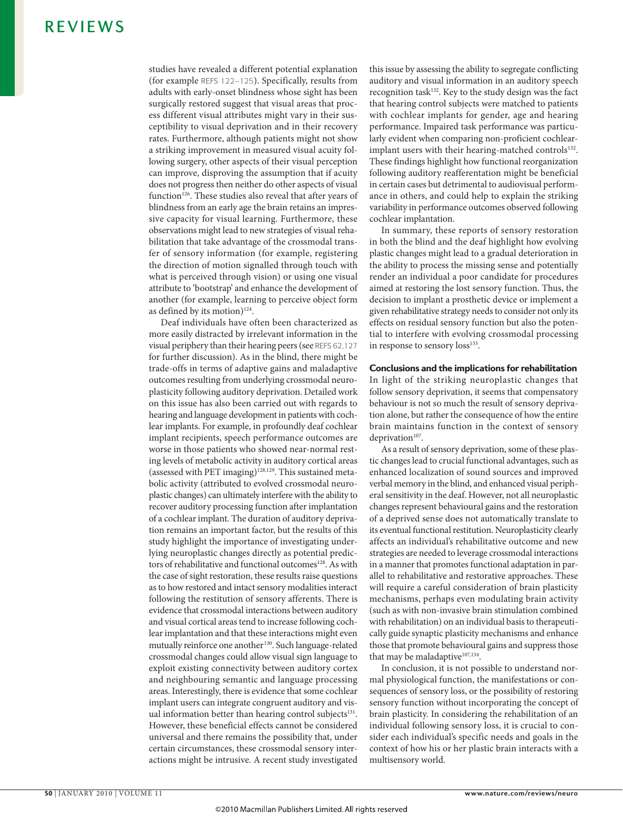studies have revealed a different potential explanation (for example REFS 122–125). Specifically, results from adults with early-onset blindness whose sight has been surgically restored suggest that visual areas that process different visual attributes might vary in their susceptibility to visual deprivation and in their recovery rates. Furthermore, although patients might not show a striking improvement in measured visual acuity following surgery, other aspects of their visual perception can improve, disproving the assumption that if acuity does not progress then neither do other aspects of visual function<sup>126</sup>. These studies also reveal that after years of blindness from an early age the brain retains an impressive capacity for visual learning. Furthermore, these observations might lead to new strategies of visual rehabilitation that take advantage of the crossmodal transfer of sensory information (for example, registering the direction of motion signalled through touch with what is perceived through vision) or using one visual attribute to 'bootstrap' and enhance the development of another (for example, learning to perceive object form as defined by its motion) $124$ .

Deaf individuals have often been characterized as more easily distracted by irrelevant information in the visual periphery than their hearing peers (see REFS 62,127 for further discussion). As in the blind, there might be trade-offs in terms of adaptive gains and maladaptive outcomes resulting from underlying crossmodal neuroplasticity following auditory deprivation. Detailed work on this issue has also been carried out with regards to hearing and language development in patients with cochlear implants. For example, in profoundly deaf cochlear implant recipients, speech performance outcomes are worse in those patients who showed near-normal resting levels of metabolic activity in auditory cortical areas (assessed with PET imaging)<sup>128,129</sup>. This sustained metabolic activity (attributed to evolved crossmodal neuroplastic changes) can ultimately interfere with the ability to recover auditory processing function after implantation of a cochlear implant. The duration of auditory deprivation remains an important factor, but the results of this study highlight the importance of investigating underlying neuroplastic changes directly as potential predictors of rehabilitative and functional outcomes<sup>128</sup>. As with the case of sight restoration, these results raise questions as to how restored and intact sensory modalities interact following the restitution of sensory afferents. There is evidence that crossmodal interactions between auditory and visual cortical areas tend to increase following cochlear implantation and that these interactions might even mutually reinforce one another<sup>130</sup>. Such language-related crossmodal changes could allow visual sign language to exploit existing connectivity between auditory cortex and neighbouring semantic and language processing areas. Interestingly, there is evidence that some cochlear implant users can integrate congruent auditory and visual information better than hearing control subjects<sup>131</sup>. However, these beneficial effects cannot be considered universal and there remains the possibility that, under certain circumstances, these crossmodal sensory interactions might be intrusive. A recent study investigated this issue by assessing the ability to segregate conflicting auditory and visual information in an auditory speech recognition task<sup>132</sup>. Key to the study design was the fact that hearing control subjects were matched to patients with cochlear implants for gender, age and hearing performance. Impaired task performance was particularly evident when comparing non-proficient cochlearimplant users with their hearing-matched controls<sup>132</sup>. These findings highlight how functional reorganization following auditory reafferentation might be beneficial in certain cases but detrimental to audiovisual performance in others, and could help to explain the striking variability in performance outcomes observed following cochlear implantation.

In summary, these reports of sensory restoration in both the blind and the deaf highlight how evolving plastic changes might lead to a gradual deterioration in the ability to process the missing sense and potentially render an individual a poor candidate for procedures aimed at restoring the lost sensory function. Thus, the decision to implant a prosthetic device or implement a given rehabilitative strategy needs to consider not only its effects on residual sensory function but also the potential to interfere with evolving crossmodal processing in response to sensory loss<sup>133</sup>.

### Conclusions and the implications for rehabilitation

In light of the striking neuroplastic changes that follow sensory deprivation, it seems that compensatory behaviour is not so much the result of sensory deprivation alone, but rather the consequence of how the entire brain maintains function in the context of sensory deprivation<sup>107</sup>.

As a result of sensory deprivation, some of these plastic changes lead to crucial functional advantages, such as enhanced localization of sound sources and improved verbal memory in the blind, and enhanced visual peripheral sensitivity in the deaf. However, not all neuroplastic changes represent behavioural gains and the restoration of a deprived sense does not automatically translate to its eventual functional restitution. Neuroplasticity clearly affects an individual's rehabilitative outcome and new strategies are needed to leverage crossmodal interactions in a manner that promotes functional adaptation in parallel to rehabilitative and restorative approaches. These will require a careful consideration of brain plasticity mechanisms, perhaps even modulating brain activity (such as with non-invasive brain stimulation combined with rehabilitation) on an individual basis to therapeutically guide synaptic plasticity mechanisms and enhance those that promote behavioural gains and suppress those that may be maladaptive<sup>107,134</sup>.

In conclusion, it is not possible to understand normal physiological function, the manifestations or consequences of sensory loss, or the possibility of restoring sensory function without incorporating the concept of brain plasticity. In considering the rehabilitation of an individual following sensory loss, it is crucial to consider each individual's specific needs and goals in the context of how his or her plastic brain interacts with a multisensory world.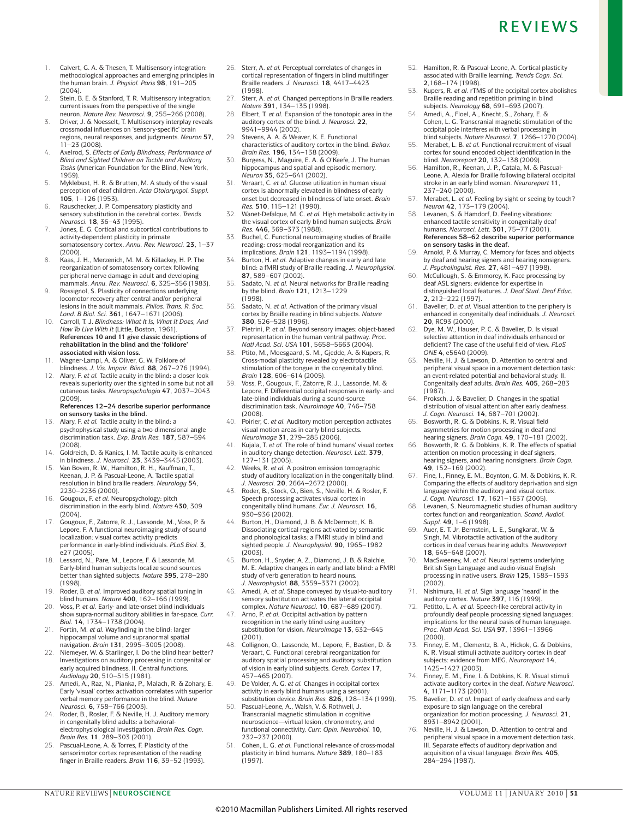- 1. Calvert, G. A. & Thesen, T. Multisensory integration: methodological approaches and emerging principles in the human brain. *J. Physiol. Paris* **98**, 191–205 (2004).
- 2. Stein, B. E. & Stanford, T. R. Multisensory integration: current issues from the perspective of the single neuron. *Nature Rev. Neurosci.* **9**, 255–266 (2008).
- 3. Driver, J. & Noesselt, T. Multisensory interplay reveals crossmodal influences on 'sensory-specific' brain regions, neural responses, and judgments. *Neuron* **57**, 11–23 (2008).
- 4. Axelrod, S. *Effects of Early Blindness; Performance of Blind and Sighted Children on Tactile and Auditory Tasks* (American Foundation for the Blind, New York, 1959).
- 5. Myklebust, H. R. & Brutten, M. A study of the visual perception of deaf children. *Acta Otolaryngol. Suppl.* **105**, 1–126 (1953).
- 6. Rauschecker, J. P. Compensatory plasticity and sensory substitution in the cerebral cortex. *Trends Neurosci.* **18**, 36–43 (1995).
- Jones, E. G. Cortical and subcortical contributions to activity-dependent plasticity in primate somatosensory cortex. *Annu. Rev. Neurosci.* **23**, 1–37 (2000).
- 8. Kaas, J. H., Merzenich, M. M. & Killackey, H. P. The reorganization of somatosensory cortex following peripheral nerve damage in adult and developing mammals. *Annu. Rev. Neurosci.* **6**, 325–356 (1983).
- 9. Rossignol, S. Plasticity of connections underlying locomotor recovery after central and/or peripheral lesions in the adult mammals. *Philos. Trans. R. Soc. Lond. B Biol. Sci.* **361**, 1647–1671 (2006).
- 10. Carroll, T. J. *Blindness: What It Is, What It Does, And How To Live With It* (Little, Boston, 1961). **References 10 and 11 give classic descriptions of rehabilitation in the blind and the 'folklore' associated with vision loss.**
- 11. Wagner-Lampl, A. & Oliver, G. W. Folklore of blindness. *J. Vis. Impair. Blind.* **88**, 267–276 (1994).
- 12. Alary, F. *et al.* Tactile acuity in the blind: a closer look reveals superiority over the sighted in some but not all cutaneous tasks. *Neuropsychologia* **47**, 2037–2043 (2009).

#### **References 12–24 describe superior performance on sensory tasks in the blind.**

- 13. Alary, F. *et al.* Tactile acuity in the blind: a psychophysical study using a two-dimensional angle discrimination task. *Exp. Brain Res.* **187**, 587–594 (2008).
- 14. Goldreich, D. & Kanics, I. M. Tactile acuity is enhanced in blindness. *J. Neurosci.* **23**, 3439–3445 (2003).
- 15. Van Boven, R. W., Hamilton, R. H., Kauffman, T., Keenan, J. P. & Pascual-Leone, A. Tactile spatial resolution in blind braille readers. *Neurology* **54**, 2230–2236 (2000).
- 16. Gougoux, F. *et al.* Neuropsychology: pitch discrimination in the early blind. *Nature* **430**, 309 (2004).
- 17. Gougoux, F., Zatorre, R. J., Lassonde, M., Voss, P. & Lepore, F. A functional neuroimaging study of sound localization: visual cortex activity predicts performance in early-blind individuals. *PLoS Biol.* **3**,
- e27 (2005). 18. Lessard, N., Pare, M., Lepore, F. & Lassonde, M. Early-blind human subjects localize sound sources better than sighted subjects. *Nature* **395**, 278–280 (1998).
- 19. Roder, B. *et al.* Improved auditory spatial tuning in blind humans. *Nature* **400**, 162–166 (1999).
- 20. Voss, P. *et al.* Early- and late-onset blind individuals show supra-normal auditory abilities in far-space. *Curr. Biol.* **14**, 1734–1738 (2004).
- 21. Fortin, M. *et al.* Wayfinding in the blind: larger hippocampal volume and supranormal spatial navigation. *Brain* **131**, 2995–3005 (2008).
- 22. Niemeyer, W. & Starlinger, I. Do the blind hear better? Investigations on auditory processing in congenital or early acquired blindness. II. Central functions.
- *Audiology* **20**, 510–515 (1981). 23. Amedi, A., Raz, N., Pianka, P., Malach, R. & Zohary, E. Early 'visual' cortex activation correlates with superior verbal memory performance in the blind. *Nature Neurosci.* **6**, 758–766 (2003).
- Roder, B., Rosler, F. & Neville, H. J. Auditory memory in congenitally blind adults: a behavioralelectrophysiological investigation. *Brain Res. Cogn. Brain Res.* **11**, 289–303 (2001).
- 25. Pascual-Leone, A. & Torres, F. Plasticity of the sensorimotor cortex representation of the reading finger in Braille readers. *Brain* **116**, 39–52 (1993).
- 26. Sterr, A. *et al.* Perceptual correlates of changes in cortical representation of fingers in blind multifinger Braille readers. *J. Neurosci.* **18**, 4417–4423 (1998).
- 27. Sterr, A. *et al.* Changed perceptions in Braille readers. *Nature* **391**, 134–135 (1998).
- 28. Elbert, T. *et al.* Expansion of the tonotopic area in the auditory cortex of the blind. *J. Neurosci.* **22**, 9941–9944 (2002).
- 29. Stevens, A. A. & Weaver, K. E. Functional characteristics of auditory cortex in the blind. *Behav. Brain Res.* **196**, 134–138 (2009).
- 30. Burgess, N., Maguire, E. A. & O'Keefe, J. The human hippocampus and spatial and episodic memory. *Neuron* **35**, 625–641 (2002).
- 31. Veraart, C. *et al.* Glucose utilization in human visual cortex is abnormally elevated in blindness of early onset but decreased in blindness of late onset. *Brain Res.* **510**, 115–121 (1990).
- 32. Wanet-Defalque, M. C. *et al.* High metabolic activity in the visual cortex of early blind human subjects. *Brain Res.* **446**, 369–373 (1988).
- 33. Buchel, C. Functional neuroimaging studies of Braille reading: cross-modal reorganization and its implications. *Brain* **121**, 1193–1194 (1998).
- 34. Burton, H. *et al.* Adaptive changes in early and late blind: a fMRI study of Braille reading. *J. Neurophysiol.* **87**, 589–607 (2002).
- 35. Sadato, N. *et al.* Neural networks for Braille reading by the blind. *Brain* **121**, 1213–1229 (1998).
- 36. Sadato, N. *et al.* Activation of the primary visual cortex by Braille reading in blind subjects. *Nature* **380**, 526–528 (1996).
- 37. Pietrini, P. *et al.* Beyond sensory images: object-based representation in the human ventral pathway. *Proc.*
- *Natl Acad. Sci. USA* **101**, 5658–5663 (2004). 38. Ptito, M., Moesgaard, S. M., Gjedde, A. & Kupers, R. Cross-modal plasticity revealed by electrotactile stimulation of the tongue in the congenitally blind. *Brain* **128**, 606–614 (2005).
- 39. Voss, P., Gougoux, F., Zatorre, R. J., Lassonde, M. & Lepore, F. Differential occipital responses in early- and late-blind individuals during a sound-source discrimination task. *Neuroimage* **40**, 746–758 (2008).
- 40. Poirier, C. *et al.* Auditory motion perception activates visual motion areas in early blind subjects. *Neuroimage* **31**, 279–285 (2006).
- 41. Kujala, T. *et al.* The role of blind humans' visual cortex in auditory change detection. *Neurosci. Lett.* **379**, 127–131 (2005).
- 42. Weeks, R. *et al.* A positron emission tomographic study of auditory localization in the congenitally blind. *J. Neurosci.* **20**, 2664–2672 (2000).
- 43. Roder, B., Stock, O., Bien, S., Neville, H. & Rosler, F. Speech processing activates visual cortex in congenitally blind humans. *Eur. J. Neurosci.* **16**, 930–936 (2002).
- Burton, H., Diamond, J. B. & McDermott, K. B. Dissociating cortical regions activated by semantic and phonological tasks: a FMRI study in blind and sighted people. *J. Neurophysiol.* **90**, 1965–1982 (2003)
- 45. Burton, H., Snyder, A. Z., Diamond, J. B. & Raichle, M. E. Adaptive changes in early and late blind: a FMRI study of verb generation to heard nouns. *J. Neurophysiol.* **88**, 3359–3371 (2002).
- 46. Amedi, A. *et al.* Shape conveyed by visual-to-auditory sensory substitution activates the lateral occipital complex. *Nature Neurosci.* **10**, 687–689 (2007).
- 47. Arno, P. *et al.* Occipital activation by pattern recognition in the early blind using auditory substitution for vision. *Neuroimage* **13**, 632–645 (2001).
- 48. Collignon, O., Lassonde, M., Lepore, F., Bastien, D. & Veraart, C. Functional cerebral reorganization for auditory spatial processing and auditory substitution of vision in early blind subjects. *Cereb. Cortex* **17**,
- 457–465 (2007). 49. De Volder, A. G. *et al.* Changes in occipital cortex activity in early blind humans using a sensory substitution device. *Brain Res.* **826**, 128–134 (1999).
- Pascual-Leone, A., Walsh, V. & Rothwell, J. Transcranial magnetic stimulation in cognitive neuroscience—virtual lesion, chronometry, and functional connectivity. *Curr. Opin. Neurobiol.* **10**, 232–237 (2000).
- 51. Cohen, L. G. *et al.* Functional relevance of cross-modal plasticity in blind humans. *Nature* **389**, 180–183 (1997).
- 52. Hamilton, R. & Pascual-Leone, A. Cortical plasticity associated with Braille learning. *Trends Cogn. Sci.* **2**,168–174 (1998).
- 53. Kupers, R. *et al.* rTMS of the occipital cortex abolishes Braille reading and repetition priming in blind subjects. *Neurology* **68**, 691–693 (2007).
- Amedi, A., Floel, A., Knecht, S., Zohary, E. & Cohen, L. G. Transcranial magnetic stimulation of the occipital pole interferes with verbal processing in
- blind subjects. *Nature Neurosci.* **7**, 1266–1270 (2004). 55. Merabet, L. B. *et al.* Functional recruitment of visual cortex for sound encoded object identification in the
- blind. *Neuroreport* **20**, 132–138 (2009). 56. Hamilton, R., Keenan, J. P., Catala, M. & Pascual-Leone, A. Alexia for Braille following bilateral occipital stroke in an early blind woman. *Neuroreport* **11**, 237–240 (2000).
- 57. Merabet, L. *et al.* Feeling by sight or seeing by touch? *Neuron* **42**, 173–179 (2004).
- 58. Levanen, S. & Hamdorf, D. Feeling vibrations: enhanced tactile sensitivity in congenitally deaf humans. *Neurosci. Lett.* **301**, 75–77 (2001). **References 58–62 describe superior performance on sensory tasks in the deaf.**
- 59. Arnold, P. & Murray, C. Memory for faces and objects by deaf and hearing signers and hearing nonsigners. *J. Psycholinguist. Res.* **27**, 481–497 (1998).
- McCullough, S. & Emmorey, K. Face processing by deaf ASL signers: evidence for expertise in distinguished local features. *J. Deaf Stud. Deaf Educ.* **2**, 212–222 (1997).
- 61. Bavelier, D. *et al.* Visual attention to the periphery is enhanced in congenitally deaf individuals. *J. Neurosci.* **20**, RC93 (2000).
- 62. Dye, M. W., Hauser, P. C. & Bavelier, D. Is visual selective attention in deaf individuals enhanced or deficient? The case of the useful field of view. *PLoS ONE* **4**, e5640 (2009).
- 63. Neville, H. J. & Lawson, D. Attention to central and peripheral visual space in a movement detection task: an event-related potential and behavioral study. II. Congenitally deaf adults. *Brain Res.* **405**, 268–283 (1987).
- 64. Proksch, J. & Bavelier, D. Changes in the spatial distribution of visual attention after early deafness. *J. Cogn. Neurosci.* **14**, 687–701 (2002).
- 65. Bosworth, R. G. & Dobkins, K. R. Visual field asymmetries for motion processing in deaf and hearing signers. *Brain Cogn.* **49**, 170–181 (2002).
- Bosworth, R. G. & Dobkins, K. R. The effects of spatial attention on motion processing in deaf signers, hearing signers, and hearing nonsigners. *Brain Cogn.*
- **49**, 152–169 (2002). 67. Fine, I., Finney, E. M., Boynton, G. M. & Dobkins, K. R. Comparing the effects of auditory deprivation and sign language within the auditory and visual cortex. *J. Cogn. Neurosci.* **17**, 1621–1637 (2005).
- 68. Levanen, S. Neuromagnetic studies of human auditory cortex function and reorganization. *Scand. Audiol. Suppl.* **49**, 1–6 (1998).
- 69. Auer, E. T. Jr, Bernstein, L. E., Sungkarat, W. & Singh, M. Vibrotactile activation of the auditory cortices in deaf versus hearing adults. *Neuroreport*
- **18**, 645–648 (2007). 70. MacSweeney, M. *et al.* Neural systems underlying British Sign Language and audio-visual English processing in native users. *Brain* **125**, 1583–1593 (2002).
- 71. Nishimura, H. *et al.* Sign language 'heard' in the auditory cortex. *Nature* **397**, 116 (1999).
- 72. Petitto, L. A. *et al.* Speech-like cerebral activity in profoundly deaf people processing signed languages: implications for the neural basis of human language. *Proc. Natl Acad. Sci. USA* **97**, 13961–13966 (2000).
- 73. Finney, E. M., Clementz, B. A., Hickok, G. & Dobkins, K. R. Visual stimuli activate auditory cortex in deaf subjects: evidence from MEG. *Neuroreport* **14**, 1425–1427 (2003).
- 74. Finney, E. M., Fine, I. & Dobkins, K. R. Visual stimuli activate auditory cortex in the deaf. *Nature Neurosci.* **4**, 1171–1173 (2001).
- 75. Bavelier, D. *et al.* Impact of early deafness and early exposure to sign language on the cerebral organization for motion processing. *J. Neurosci.* **21**, 8931–8942 (2001).
- 76. Neville, H. J. & Lawson, D. Attention to central and peripheral visual space in a movement detection task. III. Separate effects of auditory deprivation and acquisition of a visual language. *Brain Res.* **405**, 284–294 (1987).